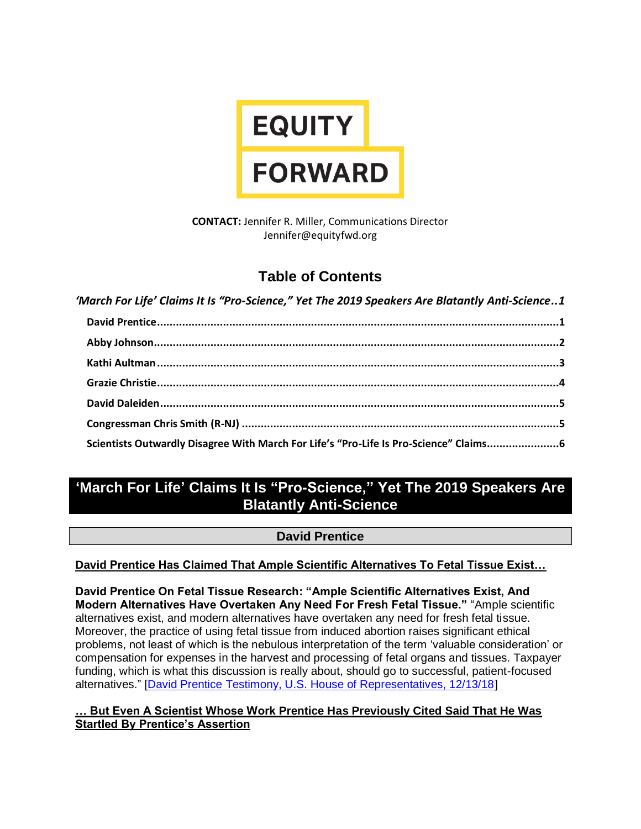

**CONTACT:** Jennifer R. Miller, Communications Director Jennifer@equityfwd.org

# **Table of Contents**

*'March For Life' Claims It Is "Pro-[Science," Yet The 2019 Speakers Are Blatantly](#page-0-0) Anti-Science..1* **[David Prentice................................................................................................................................1](#page-0-1) [Abby Johnson.................................................................................................................................2](#page-1-0) [Kathi Aultman................................................................................................................................3](#page-2-0) [Grazie Christie................................................................................................................................4](#page-3-0) [David Daleiden...............................................................................................................................5](#page-4-0) Congressman Chris Smith (R-NJ) [.....................................................................................................5](#page-4-1) [Scientists Outwardly Disagree With March For Life's "Pro](#page-5-0)-Life Is Pro-Science" Claims.......................6**

# <span id="page-0-0"></span>**'March For Life' Claims It Is "Pro-Science," Yet The 2019 Speakers Are Blatantly Anti-Science**

# **David Prentice**

# <span id="page-0-1"></span>**David Prentice Has Claimed That Ample Scientific Alternatives To Fetal Tissue Exist…**

**David Prentice On Fetal Tissue Research: "Ample Scientific Alternatives Exist, And Modern Alternatives Have Overtaken Any Need For Fresh Fetal Tissue."** "Ample scientific alternatives exist, and modern alternatives have overtaken any need for fresh fetal tissue. Moreover, the practice of using fetal tissue from induced abortion raises significant ethical problems, not least of which is the nebulous interpretation of the term 'valuable consideration' or compensation for expenses in the harvest and processing of fetal organs and tissues. Taxpayer funding, which is what this discussion is really about, should go to successful, patient-focused alternatives." [\[David Prentice Testimony, U.S. House of Representatives, 12/13/18\]](https://oversight.house.gov/wp-content/uploads/2018/12/Prentice-Testimony-HCBAR-GO-Fetal-Tissue-12.13.18.pdf)

#### **… But Even A Scientist Whose Work Prentice Has Previously Cited Said That He Was Startled By Prentice's Assertion**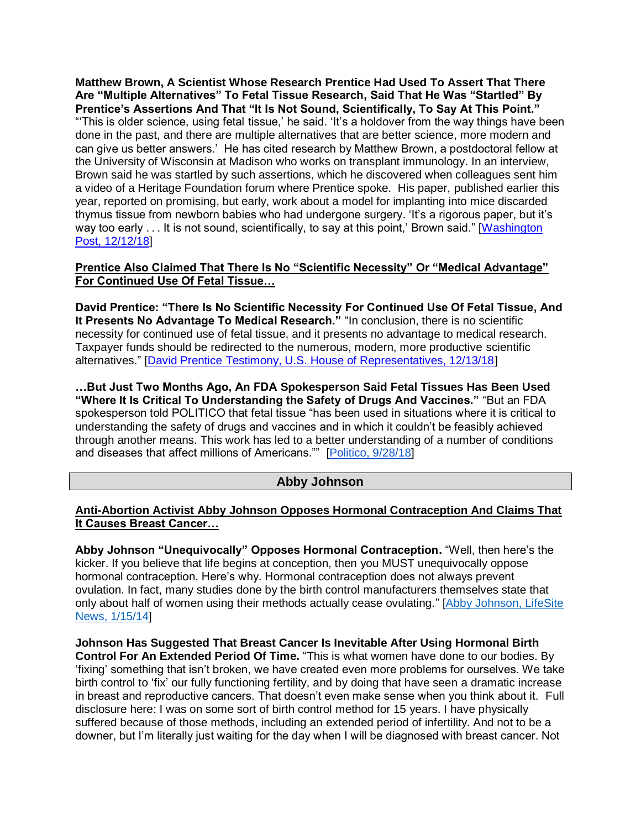**Matthew Brown, A Scientist Whose Research Prentice Had Used To Assert That There Are "Multiple Alternatives" To Fetal Tissue Research, Said That He Was "Startled" By Prentice's Assertions And That "It Is Not Sound, Scientifically, To Say At This Point."** "'This is older science, using fetal tissue,' he said. 'It's a holdover from the way things have been done in the past, and there are multiple alternatives that are better science, more modern and can give us better answers.' He has cited research by Matthew Brown, a postdoctoral fellow at the University of Wisconsin at Madison who works on transplant immunology. In an interview, Brown said he was startled by such assertions, which he discovered when colleagues sent him a video of a Heritage Foundation forum where Prentice spoke. His paper, published earlier this year, reported on promising, but early, work about a model for implanting into mice discarded thymus tissue from newborn babies who had undergone surgery. 'It's a rigorous paper, but it's way too early . . . It is not sound, scientifically, to say at this point,' Brown said." [Washington] [Post, 12/12/18\]](https://www.washingtonpost.com/national/health-science/fetal-tissue-research-targeted-by-abortion-foes-inside-administration/2018/12/12/5b692ada-fdc1-11e8-83c0-b06139e540e5_story.html?utm_term=.46ce0f86474f)

#### **Prentice Also Claimed That There Is No "Scientific Necessity" Or "Medical Advantage" For Continued Use Of Fetal Tissue…**

**David Prentice: "There Is No Scientific Necessity For Continued Use Of Fetal Tissue, And It Presents No Advantage To Medical Research."** "In conclusion, there is no scientific necessity for continued use of fetal tissue, and it presents no advantage to medical research. Taxpayer funds should be redirected to the numerous, modern, more productive scientific alternatives." [\[David Prentice Testimony, U.S. House of Representatives, 12/13/18\]](https://oversight.house.gov/wp-content/uploads/2018/12/Prentice-Testimony-HCBAR-GO-Fetal-Tissue-12.13.18.pdf)

**…But Just Two Months Ago, An FDA Spokesperson Said Fetal Tissues Has Been Used "Where It Is Critical To Understanding the Safety of Drugs And Vaccines."** "But an FDA spokesperson told POLITICO that fetal tissue "has been used in situations where it is critical to understanding the safety of drugs and vaccines and in which it couldn't be feasibly achieved through another means. This work has led to a better understanding of a number of conditions and diseases that affect millions of Americans."" [\[Politico, 9/28/18\]](https://www.politico.com/story/2018/09/28/abortion-health-fetal-tissue-809829)

# **Abby Johnson**

#### <span id="page-1-0"></span>**Anti-Abortion Activist Abby Johnson Opposes Hormonal Contraception And Claims That It Causes Breast Cancer…**

**Abby Johnson "Unequivocally" Opposes Hormonal Contraception.** "Well, then here's the kicker. If you believe that life begins at conception, then you MUST unequivocally oppose hormonal contraception. Here's why. Hormonal contraception does not always prevent ovulation. In fact, many studies done by the birth control manufacturers themselves state that only about half of women using their methods actually cease ovulating." [\[Abby Johnson, LifeSite](https://www.lifesitenews.com/blogs/all-the-pro-life-facts-about-hormonal-contraception-that-you-probably-dont)  [News, 1/15/14\]](https://www.lifesitenews.com/blogs/all-the-pro-life-facts-about-hormonal-contraception-that-you-probably-dont)

**Johnson Has Suggested That Breast Cancer Is Inevitable After Using Hormonal Birth Control For An Extended Period Of Time.** "This is what women have done to our bodies. By 'fixing' something that isn't broken, we have created even more problems for ourselves. We take birth control to 'fix' our fully functioning fertility, and by doing that have seen a dramatic increase in breast and reproductive cancers. That doesn't even make sense when you think about it. Full disclosure here: I was on some sort of birth control method for 15 years. I have physically suffered because of those methods, including an extended period of infertility. And not to be a downer, but I'm literally just waiting for the day when I will be diagnosed with breast cancer. Not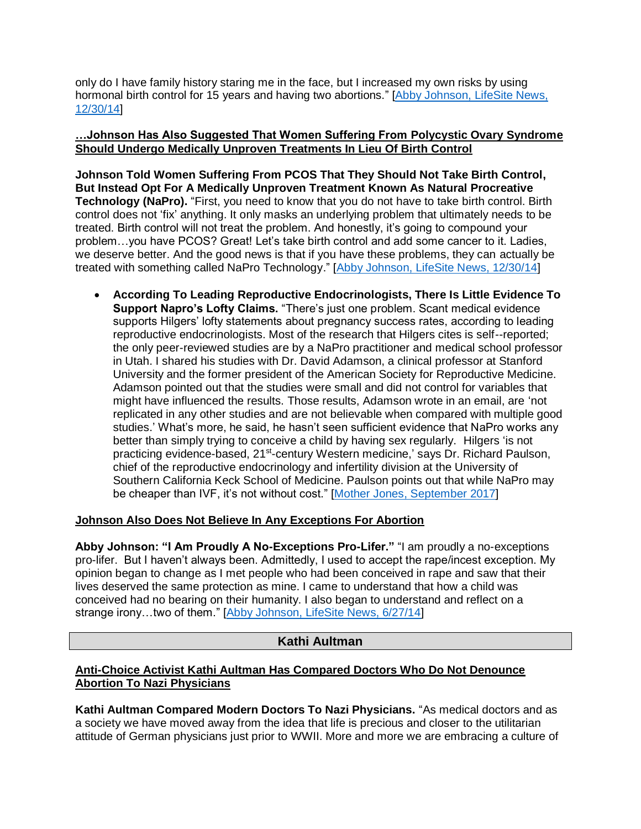only do I have family history staring me in the face, but I increased my own risks by using hormonal birth control for 15 years and having two abortions." [\[Abby Johnson, LifeSite News,](https://www.lifesitenews.com/blogs/ladies-we-deserve-better-than-hormonal-birth-control)  [12/30/14\]](https://www.lifesitenews.com/blogs/ladies-we-deserve-better-than-hormonal-birth-control)

#### **…Johnson Has Also Suggested That Women Suffering From Polycystic Ovary Syndrome Should Undergo Medically Unproven Treatments In Lieu Of Birth Control**

**Johnson Told Women Suffering From PCOS That They Should Not Take Birth Control, But Instead Opt For A Medically Unproven Treatment Known As Natural Procreative Technology (NaPro).** "First, you need to know that you do not have to take birth control. Birth control does not 'fix' anything. It only masks an underlying problem that ultimately needs to be treated. Birth control will not treat the problem. And honestly, it's going to compound your problem...you have PCOS? Great! Let's take birth control and add some cancer to it. Ladies, we deserve better. And the good news is that if you have these problems, they can actually be treated with something called NaPro Technology." [\[Abby Johnson, LifeSite News, 12/30/14\]](https://www.lifesitenews.com/blogs/ladies-we-deserve-better-than-hormonal-birth-control)

• **According To Leading Reproductive Endocrinologists, There Is Little Evidence To Support Napro's Lofty Claims.** "There's just one problem. Scant medical evidence supports Hilgers' lofty statements about pregnancy success rates, according to leading reproductive endocrinologists. Most of the research that Hilgers cites is self--reported; the only peer-reviewed studies are by a NaPro practitioner and medical school professor in Utah. I shared his studies with Dr. David Adamson, a clinical professor at Stanford University and the former president of the American Society for Reproductive Medicine. Adamson pointed out that the studies were small and did not control for variables that might have influenced the results. Those results, Adamson wrote in an email, are 'not replicated in any other studies and are not believable when compared with multiple good studies.' What's more, he said, he hasn't seen sufficient evidence that NaPro works any better than simply trying to conceive a child by having sex regularly. Hilgers 'is not practicing evidence-based, 21<sup>st</sup>-century Western medicine,' says Dr. Richard Paulson, chief of the reproductive endocrinology and infertility division at the University of Southern California Keck School of Medicine. Paulson points out that while NaPro may be cheaper than IVF, it's not without cost." [\[Mother Jones, September 2017\]](https://www.motherjones.com/politics/2017/07/inside-the-strange-heartbreaking-relentless-quest-for-a-natural-fertility-treatment/)

#### **Johnson Also Does Not Believe In Any Exceptions For Abortion**

**Abby Johnson: "I Am Proudly A No-Exceptions Pro-Lifer."** "I am proudly a no-exceptions pro-lifer. But I haven't always been. Admittedly, I used to accept the rape/incest exception. My opinion began to change as I met people who had been conceived in rape and saw that their lives deserved the same protection as mine. I came to understand that how a child was conceived had no bearing on their humanity. I also began to understand and reflect on a strange irony…two of them." [\[Abby Johnson, LifeSite News, 6/27/14\]](https://www.lifesitenews.com/blogs/i-am-proudly-a-no-exceptions-pro-lifer.-but-i-wasnt-always)

# **Kathi Aultman**

## <span id="page-2-0"></span>**Anti-Choice Activist Kathi Aultman Has Compared Doctors Who Do Not Denounce Abortion To Nazi Physicians**

**Kathi Aultman Compared Modern Doctors To Nazi Physicians.** "As medical doctors and as a society we have moved away from the idea that life is precious and closer to the utilitarian attitude of German physicians just prior to WWII. More and more we are embracing a culture of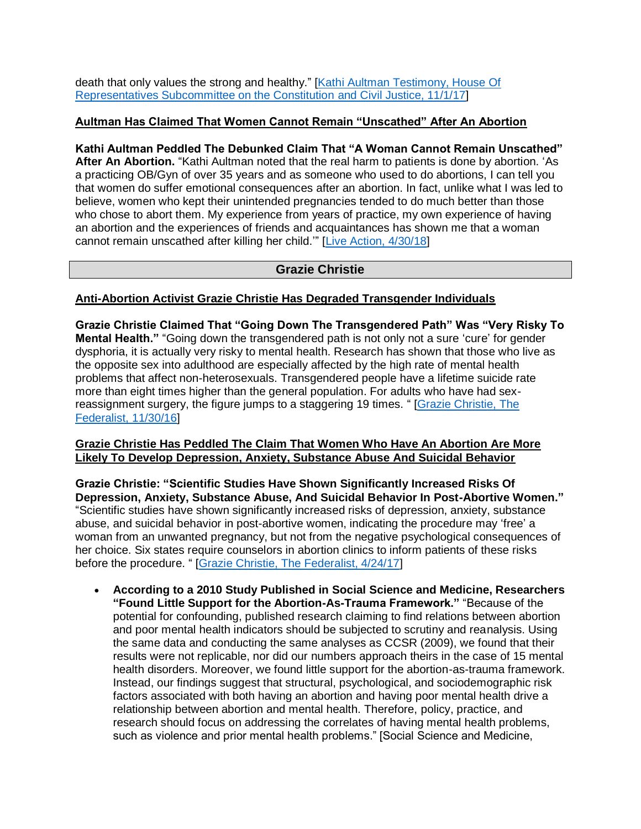death that only values the strong and healthy." [Kathi Aultman Testimony, House Of [Representatives Subcommittee on the Constitution](https://docs.house.gov/meetings/JU/JU10/20171101/106562/HHRG-115-JU10-Wstate-AultmanK-20171101.pdf) and Civil Justice, 11/1/17]

### **Aultman Has Claimed That Women Cannot Remain "Unscathed" After An Abortion**

**Kathi Aultman Peddled The Debunked Claim That "A Woman Cannot Remain Unscathed" After An Abortion.** "Kathi Aultman noted that the real harm to patients is done by abortion. 'As a practicing OB/Gyn of over 35 years and as someone who used to do abortions, I can tell you that women do suffer emotional consequences after an abortion. In fact, unlike what I was led to believe, women who kept their unintended pregnancies tended to do much better than those who chose to abort them. My experience from years of practice, my own experience of having an abortion and the experiences of friends and acquaintances has shown me that a woman cannot remain unscathed after killing her child.'" [\[Live Action, 4/30/18\]](https://www.liveaction.org/news/ethics-pregnancy-resource-centers-problems/)

## **Grazie Christie**

## <span id="page-3-0"></span>**Anti-Abortion Activist Grazie Christie Has Degraded Transgender Individuals**

**Grazie Christie Claimed That "Going Down The Transgendered Path" Was "Very Risky To Mental Health."** "Going down the transgendered path is not only not a sure 'cure' for gender dysphoria, it is actually very risky to mental health. Research has shown that those who live as the opposite sex into adulthood are especially affected by the high rate of mental health problems that affect non-heterosexuals. Transgendered people have a lifetime suicide rate more than eight times higher than the general population. For adults who have had sexreassignment surgery, the figure jumps to a staggering 19 times. " [\[Grazie Christie, The](https://thefederalist.com/2016/11/30/mom-sues-prevent-teen-son-amputating-genitals/)  [Federalist, 11/30/16\]](https://thefederalist.com/2016/11/30/mom-sues-prevent-teen-son-amputating-genitals/)

#### **Grazie Christie Has Peddled The Claim That Women Who Have An Abortion Are More Likely To Develop Depression, Anxiety, Substance Abuse And Suicidal Behavior**

**Grazie Christie: "Scientific Studies Have Shown Significantly Increased Risks Of Depression, Anxiety, Substance Abuse, And Suicidal Behavior In Post-Abortive Women."** "Scientific studies have shown significantly increased risks of depression, anxiety, substance abuse, and suicidal behavior in post-abortive women, indicating the procedure may 'free' a woman from an unwanted pregnancy, but not from the negative psychological consequences of her choice. Six states require counselors in abortion clinics to inform patients of these risks before the procedure. " [\[Grazie Christie, The Federalist, 4/24/17\]](https://thefederalist.com/2017/04/24/lets-compare-studies-see-abortion-really-harms-womens-mental-health/)

• **According to a 2010 Study Published in Social Science and Medicine, Researchers "Found Little Support for the Abortion-As-Trauma Framework."** "Because of the potential for confounding, published research claiming to find relations between abortion and poor mental health indicators should be subjected to scrutiny and reanalysis. Using the same data and conducting the same analyses as CCSR (2009), we found that their results were not replicable, nor did our numbers approach theirs in the case of 15 mental health disorders. Moreover, we found little support for the abortion-as-trauma framework. Instead, our findings suggest that structural, psychological, and sociodemographic risk factors associated with both having an abortion and having poor mental health drive a relationship between abortion and mental health. Therefore, policy, practice, and research should focus on addressing the correlates of having mental health problems, such as violence and prior mental health problems." [Social Science and Medicine,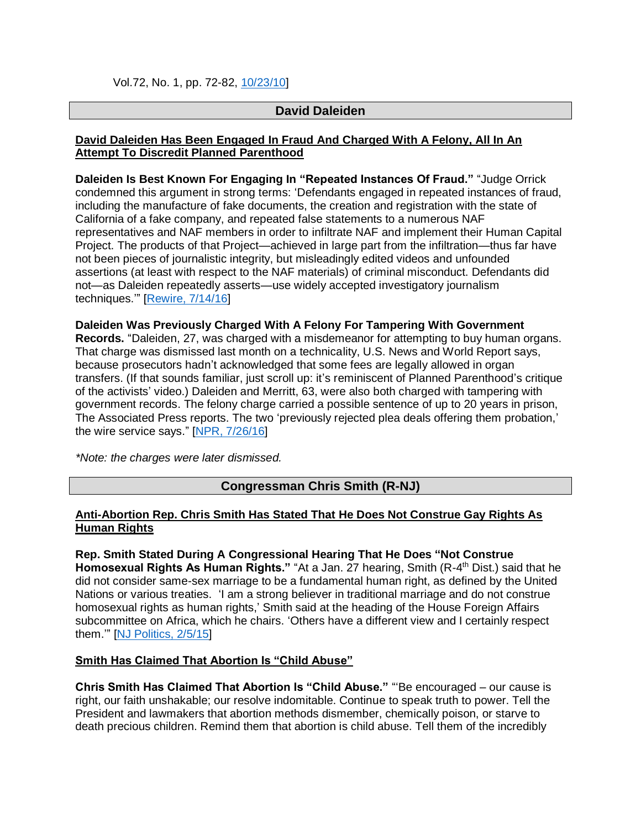Vol.72, No. 1, pp. 72-82, [10/23/10\]](https://www.ncbi.nlm.nih.gov/pubmed/21122964)

## **David Daleiden**

#### <span id="page-4-0"></span>**David Daleiden Has Been Engaged In Fraud And Charged With A Felony, All In An Attempt To Discredit Planned Parenthood**

**Daleiden Is Best Known For Engaging In "Repeated Instances Of Fraud."** "Judge Orrick condemned this argument in strong terms: 'Defendants engaged in repeated instances of fraud, including the manufacture of fake documents, the creation and registration with the state of California of a fake company, and repeated false statements to a numerous NAF representatives and NAF members in order to infiltrate NAF and implement their Human Capital Project. The products of that Project—achieved in large part from the infiltration—thus far have not been pieces of journalistic integrity, but misleadingly edited videos and unfounded assertions (at least with respect to the NAF materials) of criminal misconduct. Defendants did not—as Daleiden repeatedly asserts—use widely accepted investigatory journalism techniques.'" [\[Rewire, 7/14/16\]](https://rewire.news/article/2016/07/14/year-smear-campaign-planned-parenthood-accomplished/)

#### **Daleiden Was Previously Charged With A Felony For Tampering With Government**

**Records.** "Daleiden, 27, was charged with a misdemeanor for attempting to buy human organs. That charge was dismissed last month on a technicality, U.S. News and World Report says, because prosecutors hadn't acknowledged that some fees are legally allowed in organ transfers. (If that sounds familiar, just scroll up: it's reminiscent of Planned Parenthood's critique of the activists' video.) Daleiden and Merritt, 63, were also both charged with tampering with government records. The felony charge carried a possible sentence of up to 20 years in prison, The Associated Press reports. The two 'previously rejected plea deals offering them probation,' the wire service says." [\[NPR, 7/26/16\]](https://www.npr.org/sections/thetwo-way/2016/07/26/487490938/judge-drops-charges-against-anti-abortion-activists-behind-covert-recordings)

<span id="page-4-1"></span>*\*Note: the charges were later dismissed.*

# **Congressman Chris Smith (R-NJ)**

#### **Anti-Abortion Rep. Chris Smith Has Stated That He Does Not Construe Gay Rights As Human Rights**

**Rep. Smith Stated During A Congressional Hearing That He Does "Not Construe**  Homosexual Rights As Human Rights." "At a Jan. 27 hearing, Smith (R-4<sup>th</sup> Dist.) said that he did not consider same-sex marriage to be a fundamental human right, as defined by the United Nations or various treaties. 'I am a strong believer in traditional marriage and do not construe homosexual rights as human rights,' Smith said at the heading of the House Foreign Affairs subcommittee on Africa, which he chairs. 'Others have a different view and I certainly respect them.'" [\[NJ Politics, 2/5/15\]](https://www.nj.com/politics/index.ssf/2015/02/nj_rep_smiths_comments_on_gay_rights_draw_rebuke_f.html)

#### **Smith Has Claimed That Abortion Is "Child Abuse"**

**Chris Smith Has Claimed That Abortion Is "Child Abuse."** "'Be encouraged – our cause is right, our faith unshakable; our resolve indomitable. Continue to speak truth to power. Tell the President and lawmakers that abortion methods dismember, chemically poison, or starve to death precious children. Remind them that abortion is child abuse. Tell them of the incredibly